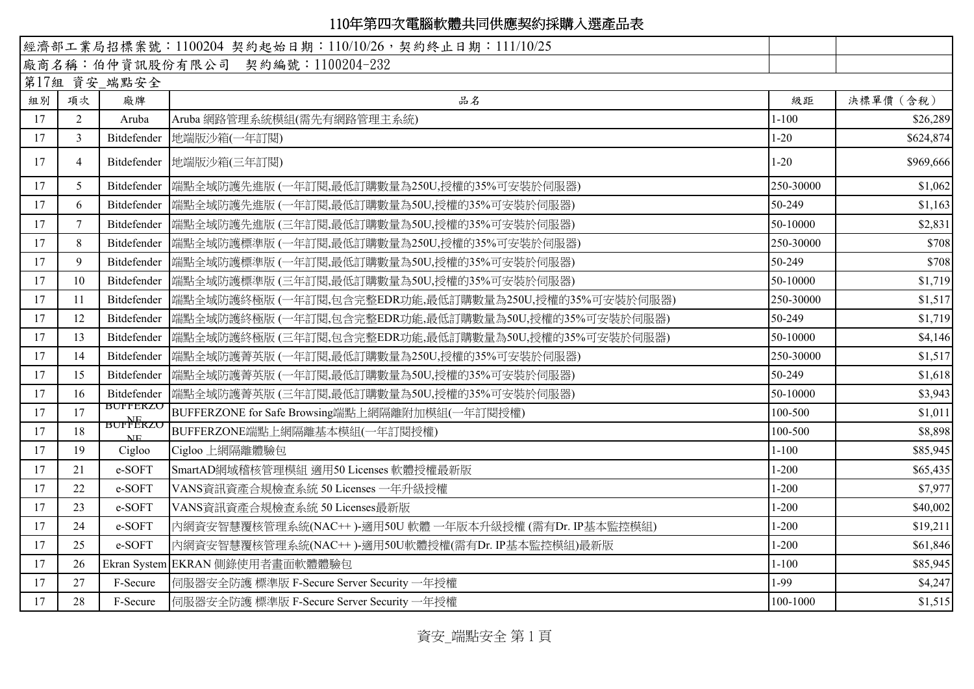|    |                |                                    | 經濟部工業局招標案號: 1100204 契約起始日期: 110/10/26, 契約終止日期: 111/10/25          |           |           |
|----|----------------|------------------------------------|-------------------------------------------------------------------|-----------|-----------|
|    |                |                                    | 廠商名稱:伯仲資訊股份有限公司 契約編號:1100204-232                                  |           |           |
|    |                | 第17組 資安_端點安全                       |                                                                   |           |           |
| 組別 | 項次             | 廠牌                                 | 品名                                                                | 級距        | 決標單價 (含稅) |
| 17 | $\overline{2}$ | Aruba                              | Aruba 網路管理系統模組(需先有網路管理主系統)                                        | $1 - 100$ | \$26,289  |
| 17 | 3              |                                    | Bitdefender  地端版沙箱(一年訂閱)                                          | $1 - 20$  | \$624,874 |
| 17 | 4              |                                    | Bitdefender   地端版沙箱(三年訂閱)                                         | $1-20$    | \$969,666 |
| 17 | 5              |                                    |                                                                   | 250-30000 | \$1,062   |
| 17 | 6              |                                    | Bitdefender  端點全域防護先進版 (一年訂閱,最低訂購數量為50U,授權的35%可安裝於伺服器)            | 50-249    | \$1,163   |
| 17 |                |                                    |                                                                   | 50-10000  | \$2,831   |
| 17 | 8              |                                    | Bitdefender  端點全域防護標準版 (一年訂閱,最低訂購數量為250U,授權的35%可安裝於伺服器)           | 250-30000 | \$708     |
| 17 | 9              |                                    |                                                                   | 50-249    | \$708     |
| 17 | 10             |                                    | Bitdefender 端點全域防護標準版 (三年訂閱,最低訂購數量為50U,授權的35%可安裝於伺服器)             | 50-10000  | \$1,719   |
| 17 | 11             |                                    | Bitdefender  端點全域防護終極版 (一年訂閱,包含完整EDR功能,最低訂購數量為250U,授權的35%可安裝於伺服器) | 250-30000 | \$1,517   |
| 17 | 12             |                                    |                                                                   | 50-249    | \$1,719   |
| 17 | 13             |                                    |                                                                   | 50-10000  | \$4,146   |
| 17 | 14             |                                    |                                                                   | 250-30000 | \$1,517   |
| 17 | 15             |                                    | Bitdefender 储點全域防護菁英版 (一年訂閱,最低訂購數量為50U,授權的35%可安裝於伺服器)             | 50-249    | \$1,618   |
| 17 | 16             |                                    | Bitdefender  端點全域防護菁英版 (三年訂閱,最低訂購數量為50U,授權的35%可安裝於伺服器)            | 50-10000  | \$3,943   |
| 17 | 17             | <b>BUFFEKZU</b><br><b>BUFFERZU</b> | BUFFERZONE for Safe Browsing端點上網隔離附加模組(一年訂閱授權)                    | 100-500   | \$1,011   |
| 17 | 18             | NF.                                | BUFFERZONE端點上網隔離基本模組(一年訂閱授權)                                      | 100-500   | \$8,898   |
| 17 | 19             | Cigloo                             | Cigloo 上網隔離體驗包                                                    | $1 - 100$ | \$85,945  |
| 17 | 21             | e-SOFT                             | SmartAD網域稽核管理模組 適用50 Licenses 軟體授權最新版                             | $1 - 200$ | \$65,435  |
| 17 | 22             | e-SOFT                             | VANS資訊資產合規檢查系統 50 Licenses 一年升級授權                                 | $1 - 200$ | \$7,977   |
| 17 | 23             | e-SOFT                             | VANS資訊資產合規檢查系統 50 Licenses最新版                                     | $1 - 200$ | \$40,002  |
| 17 | 24             | e-SOFT                             | 內網資安智慧覆核管理系統(NAC++)-適用50U 軟體 一年版本升級授權(需有Dr. IP基本監控模組)             | $1 - 200$ | \$19,211  |
| 17 | 25             | e-SOFT                             | 內網資安智慧覆核管理系統(NAC++)-適用50U軟體授權(需有Dr. IP基本監控模組)最新版                  | $1 - 200$ | \$61,846  |
| 17 | 26             |                                    | Ekran System EKRAN 側錄使用者畫面軟體體驗包                                   | $1 - 100$ | \$85,945  |
| 17 | 27             | F-Secure                           | 伺服器安全防護 標準版 F-Secure Server Security 一年授權                         | $1-99$    | \$4,247   |
| 17 | 28             | F-Secure                           | 伺服器安全防護 標準版 F-Secure Server Security 一年授權                         | 100-1000  | \$1,515   |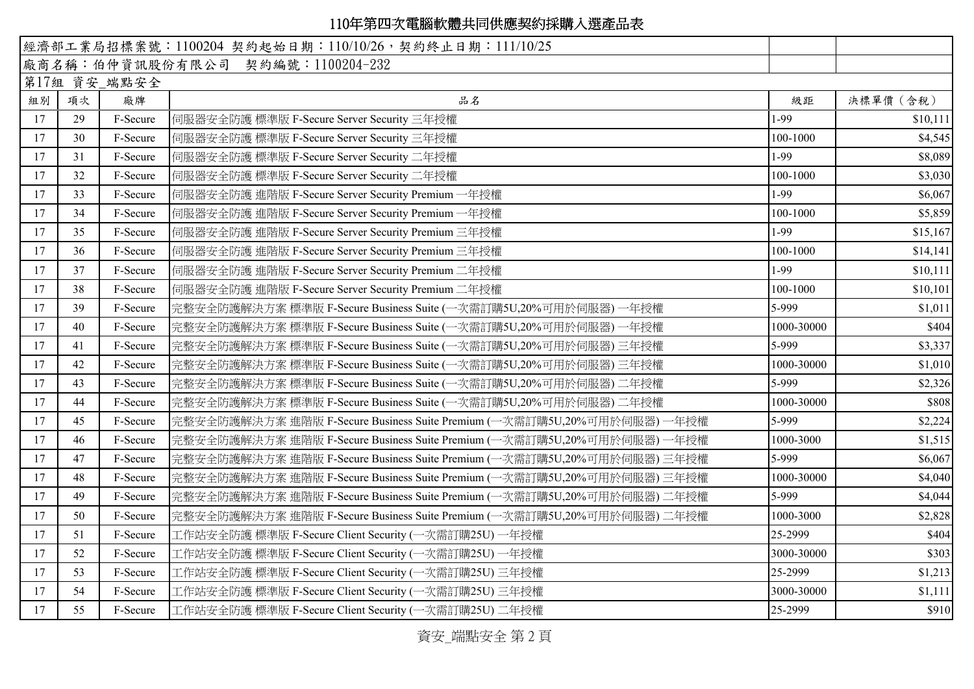| 經濟部工業局招標案號: 1100204 契約起始日期: 110/10/26, 契約終止日期: 111/10/25 |    |              |                                                                            |            |           |
|----------------------------------------------------------|----|--------------|----------------------------------------------------------------------------|------------|-----------|
|                                                          |    |              | 廠商名稱:伯仲資訊股份有限公司 契約編號:1100204-232                                           |            |           |
|                                                          |    | 第17組 資安_端點安全 |                                                                            |            |           |
| 組別                                                       | 項次 | 廠牌           | 品名                                                                         | 級距         | 決標單價 (含稅) |
| 17                                                       | 29 | F-Secure     | 伺服器安全防護 標準版 F-Secure Server Security 三年授權                                  | 1-99       | \$10,111  |
| 17                                                       | 30 | F-Secure     | 伺服器安全防護 標準版 F-Secure Server Security 三年授權                                  | 100-1000   | \$4,545   |
| 17                                                       | 31 | F-Secure     | 伺服器安全防護 標準版 F-Secure Server Security 二年授權                                  | 1-99       | \$8,089   |
| 17                                                       | 32 | F-Secure     | 伺服器安全防護 標準版 F-Secure Server Security 二年授權                                  | 100-1000   | \$3,030   |
| 17                                                       | 33 | F-Secure     | 伺服器安全防護 進階版 F-Secure Server Security Premium 一年授權                          | 1-99       | \$6,067   |
| 17                                                       | 34 | F-Secure     | 伺服器安全防護 進階版 F-Secure Server Security Premium 一年授權                          | 100-1000   | \$5,859   |
| 17                                                       | 35 | F-Secure     | 伺服器安全防護 進階版 F-Secure Server Security Premium 三年授權                          | 1-99       | \$15,167  |
| 17                                                       | 36 | F-Secure     | 伺服器安全防護 進階版 F-Secure Server Security Premium 三年授權                          | 100-1000   | \$14,141  |
| 17                                                       | 37 | F-Secure     | 伺服器安全防護 進階版 F-Secure Server Security Premium 二年授權                          | 1-99       | \$10,111  |
| 17                                                       | 38 | F-Secure     | 伺服器安全防護 進階版 F-Secure Server Security Premium 二年授權                          | 100-1000   | \$10,101  |
| 17                                                       | 39 | F-Secure     | 完整安全防護解決方案 標準版 F-Secure Business Suite (一次需訂購5U,20%可用於伺服器)<br>一年授權         | 5-999      | \$1,011   |
| 17                                                       | 40 | F-Secure     | 完整安全防護解決方案 標準版 F-Secure Business Suite (一次需訂購5U,20%可用於伺服器) 一年授權            | 1000-30000 | \$404     |
| 17                                                       | 41 | F-Secure     | 完整安全防護解決方案 標準版 F-Secure Business Suite (一次需訂購5U,20%可用於伺服器) 三年授權            | 5-999      | \$3,337   |
| 17                                                       | 42 | F-Secure     | 完整安全防護解決方案 標準版 F-Secure Business Suite (一次需訂購5U,20%可用於伺服器) 三年授權            | 1000-30000 | \$1,010   |
| 17                                                       | 43 | F-Secure     | 完整安全防護解決方案 標準版 F-Secure Business Suite (一次需訂購5U,20%可用於伺服器) 二年授權            | 5-999      | \$2,326   |
| 17                                                       | 44 | F-Secure     | 完整安全防護解決方案 標準版 F-Secure Business Suite (一次需訂購5U,20%可用於伺服器) 二年授權            | 1000-30000 | \$808     |
| 17                                                       | 45 | F-Secure     | 完整安全防護解決方案 進階版 F-Secure Business Suite Premium (一次需訂購5U,20%可用於伺服器)<br>一年授權 | 5-999      | \$2,224   |
| 17                                                       | 46 | F-Secure     | 完整安全防護解決方案 進階版 F-Secure Business Suite Premium (一次需訂購5U,20%可用於伺服器)<br>一年授權 | 1000-3000  | \$1,515   |
| 17                                                       | 47 | F-Secure     | 完整安全防護解決方案 進階版 F-Secure Business Suite Premium (一次需訂購5U,20%可用於伺服器) 三年授權    | 5-999      | \$6,067   |
| 17                                                       | 48 | F-Secure     | 完整安全防護解決方案 進階版 F-Secure Business Suite Premium (一次需訂購5U,20%可用於伺服器) 三年授權    | 1000-30000 | \$4,040   |
| 17                                                       | 49 | F-Secure     | 完整安全防護解決方案 進階版 F-Secure Business Suite Premium (一次需訂購5U,20%可用於伺服器) 二年授權    | 5-999      | \$4,044   |
| 17                                                       | 50 | F-Secure     | 完整安全防護解決方案 進階版 F-Secure Business Suite Premium (一次需訂購5U,20%可用於伺服器) 二年授權    | 1000-3000  | \$2,828   |
| 17                                                       | 51 | F-Secure     | 工作站安全防護 標準版 F-Secure Client Security (一次需訂購25U) 一年授權                       | 25-2999    | \$404     |
| 17                                                       | 52 | F-Secure     | 工作站安全防護 標準版 F-Secure Client Security (一次需訂購25U) 一年授權                       | 3000-30000 | \$303     |
| 17                                                       | 53 | F-Secure     | 工作站安全防護 標準版 F-Secure Client Security (一次需訂購25U) 三年授權                       | 25-2999    | \$1,213   |
| 17                                                       | 54 | F-Secure     | 工作站安全防護 標準版 F-Secure Client Security (一次需訂購25U) 三年授權                       | 3000-30000 | \$1,111   |
| 17                                                       | 55 | F-Secure     | 工作站安全防護 標準版 F-Secure Client Security (一次需訂購25U) 二年授權                       | 25-2999    | \$910     |

資安\_端點安全 第 2 頁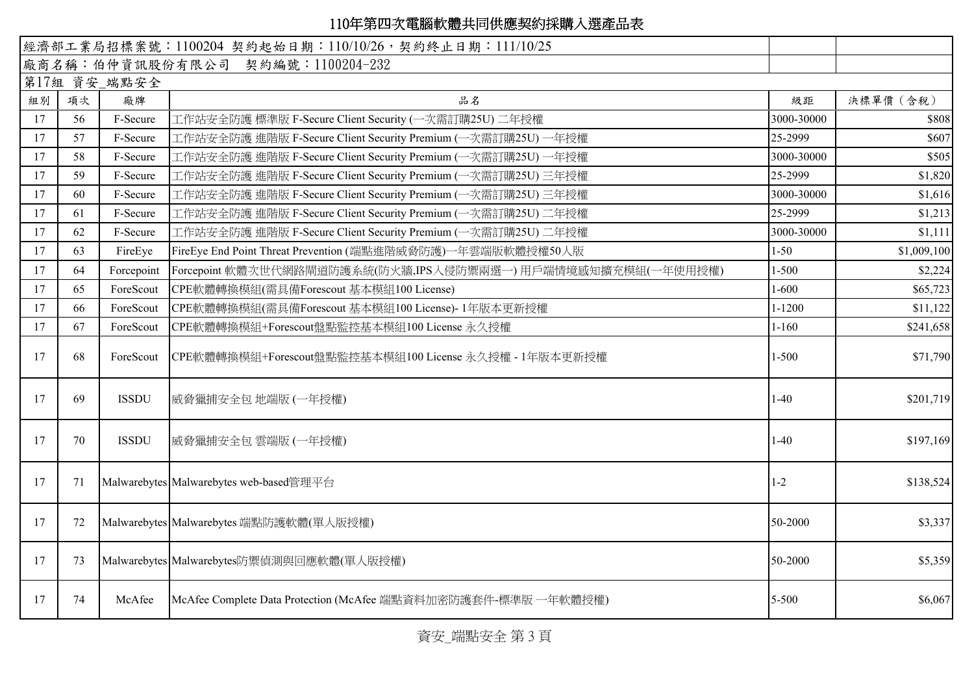|    |    |              | 經濟部工業局招標案號: 1100204 契約起始日期: 110/10/26, 契約終止日期: 111/10/25       |            |             |
|----|----|--------------|----------------------------------------------------------------|------------|-------------|
|    |    |              | 廠商名稱:伯仲資訊股份有限公司 契約編號:1100204-232                               |            |             |
|    |    | 第17組 資安_端點安全 |                                                                |            |             |
| 組別 | 項次 | 廠牌           | 品名                                                             | 級距         | 決標單價 (含稅)   |
| 17 | 56 | F-Secure     | 工作站安全防護 標準版 F-Secure Client Security (一次需訂購25U) 二年授權           | 3000-30000 | \$808       |
| 17 | 57 | F-Secure     | 工作站安全防護 進階版 F-Secure Client Security Premium (一次需訂購25U) 一年授權   | 25-2999    | \$607       |
| 17 | 58 | F-Secure     | 工作站安全防護 進階版 F-Secure Client Security Premium (一次需訂購25U) 一年授權   | 3000-30000 | \$505       |
| 17 | 59 | F-Secure     | 工作站安全防護 進階版 F-Secure Client Security Premium (一次需訂購25U) 三年授權   | 25-2999    | \$1,820     |
| 17 | 60 | F-Secure     | 工作站安全防護 進階版 F-Secure Client Security Premium (一次需訂購25U) 三年授權   | 3000-30000 | \$1,616     |
| 17 | 61 | F-Secure     | 工作站安全防護 進階版 F-Secure Client Security Premium (一次需訂購25U) 二年授權   | 25-2999    | \$1,213     |
| 17 | 62 | F-Secure     | 工作站安全防護 進階版 F-Secure Client Security Premium (一次需訂購25U) 二年授權   | 3000-30000 | \$1,111     |
| 17 | 63 | FireEye      | FireEye End Point Threat Prevention (端點進階威脅防護)一年雲端版軟體授權50人版    | $1 - 50$   | \$1,009,100 |
| 17 | 64 | Forcepoint   | Forcepoint 軟體次世代網路閘道防護系統(防火牆,IPS入侵防禦兩選一) 用戶端情境感知擴充模組(一年使用授權)   | $1 - 500$  | \$2,224     |
| 17 | 65 | ForeScout    | CPE軟體轉換模組(需具備Forescout 基本模組100 License)                        | $1 - 600$  | \$65,723    |
| 17 | 66 | ForeScout    | CPE軟體轉換模組(需具備Forescout 基本模組100 License)-1年版本更新授權               | $1 - 1200$ | \$11,122    |
| 17 | 67 | ForeScout    | CPE軟體轉換模組+Forescout盤點監控基本模組100 License 永久授權                    | $1 - 160$  | \$241,658   |
| 17 | 68 | ForeScout    | CPE軟體轉換模組+Forescout盤點監控基本模組100 License 永久授權 - 1年版本更新授權         | $1 - 500$  | \$71,790    |
| 17 | 69 | <b>ISSDU</b> | 威脅獵捕安全包 地端版 (一年授權)                                             | $1-40$     | \$201,719   |
| 17 | 70 | <b>ISSDU</b> | 威脅獵捕安全包雲端版(一年授權)                                               | $1-40$     | \$197,169   |
| 17 | 71 |              | Malwarebytes Malwarebytes web-based管理平台                        | $1-2$      | \$138,524   |
| 17 | 72 |              | Malwarebytes Malwarebytes 端點防護軟體(單人版授權)                        | 50-2000    | \$3,337     |
| 17 | 73 |              | Malwarebytes Malwarebytes防禦偵測與回應軟體(單人版授權)                      | 50-2000    | \$5,359     |
| 17 | 74 | McAfee       | McAfee Complete Data Protection (McAfee 端點資料加密防護套件-標準版 一年軟體授權) | 5-500      | \$6,067     |

資安\_端點安全 第 3 頁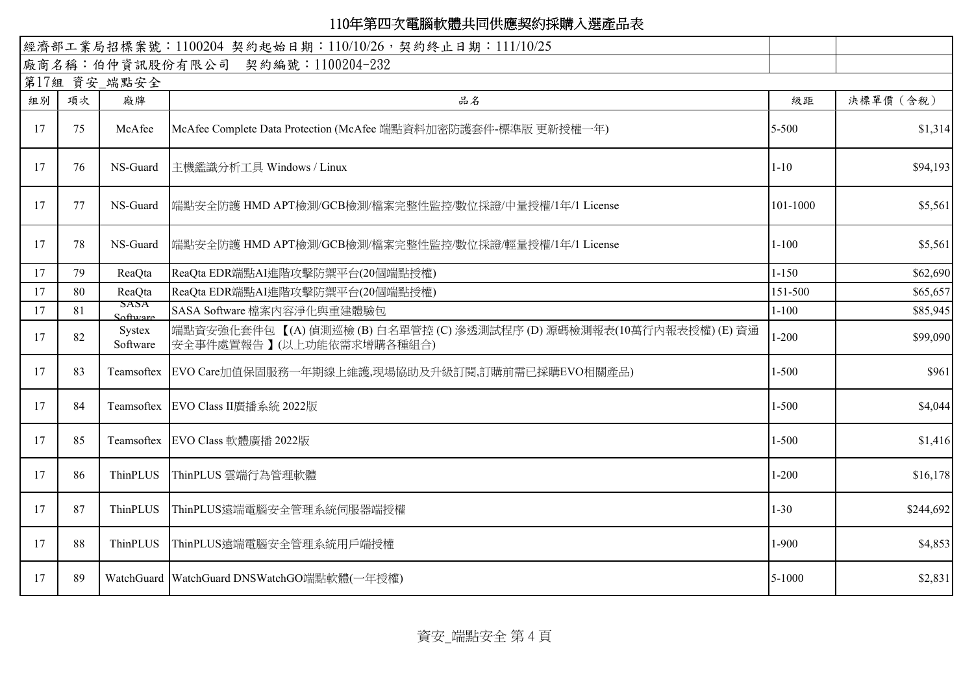|    |    |                    | 經濟部工業局招標案號: 1100204 契約起始日期: 110/10/26, 契約終止日期: 111/10/25                                 |           |           |
|----|----|--------------------|------------------------------------------------------------------------------------------|-----------|-----------|
|    |    |                    | 廠商名稱:伯仲資訊股份有限公司 契約編號:1100204-232                                                         |           |           |
|    |    | 第17組 資安_端點安全       |                                                                                          |           |           |
| 組別 | 項次 | 廠牌                 | 品名                                                                                       | 級距        | 決標單價 (含稅) |
| 17 | 75 | McAfee             | McAfee Complete Data Protection (McAfee 端點資料加密防護套件-標準版 更新授權一年)                           | 5-500     | \$1,314   |
| 17 | 76 | NS-Guard           | 主機鑑識分析工具 Windows / Linux                                                                 | $1 - 10$  | \$94,193  |
| 17 | 77 | NS-Guard           | 端點安全防護 HMD APT檢測/GCB檢測/檔案完整性監控/數位採證/中量授權/1年/1 License                                    | 101-1000  | \$5,561   |
| 17 | 78 | NS-Guard           | 端點安全防護 HMD APT檢測/GCB檢測/檔案完整性監控/數位採證/輕量授權/1年/1 License                                    | $1 - 100$ | \$5,561   |
| 17 | 79 | ReaQta             | ReaQta EDR端點AI進階攻擊防禦平台(20個端點授權)                                                          | $1 - 150$ | \$62,690  |
| 17 | 80 | ReaQta             | ReaQta EDR端點AI進階攻擊防禦平台(20個端點授權)                                                          | 151-500   | \$65,657  |
| 17 | 81 | бАЗА<br>Software   | SASA Software 檔案內容淨化與重建體驗包                                                               | $1 - 100$ | \$85,945  |
| 17 | 82 | Systex<br>Software | 端點資安強化套件包【(A)偵測巡檢(B)白名單管控(C)滲透測試程序(D)源碼檢測報表(10萬行內報表授權)(E)資通<br> 安全事件處置報告】(以上功能依需求增購各種組合) | $1 - 200$ | \$99,090  |
| 17 | 83 |                    | Teamsoftex EVO Care加值保固服務一年期線上維護,現場協助及升級訂閱,訂購前需已採購EVO相關產品)                               | $1 - 500$ | \$961     |
| 17 | 84 |                    | Teamsoftex EVO Class II廣播系統 2022版                                                        | $1 - 500$ | \$4,044   |
| 17 | 85 |                    | Teamsoftex EVO Class 軟體廣播 2022版                                                          | $1 - 500$ | \$1,416   |
| 17 | 86 | ThinPLUS           | ThinPLUS 雲端行為管理軟體                                                                        | $1 - 200$ | \$16,178  |
| 17 | 87 | ThinPLUS           | ThinPLUS遠端電腦安全管理系統伺服器端授權                                                                 | $1 - 30$  | \$244,692 |
| 17 | 88 | ThinPLUS           | ThinPLUS遠端電腦安全管理系統用戶端授權                                                                  | $1-900$   | \$4,853   |
| 17 | 89 |                    | WatchGuard WatchGuard DNSWatchGO端點軟體(一年授權)                                               | 5-1000    | \$2,831   |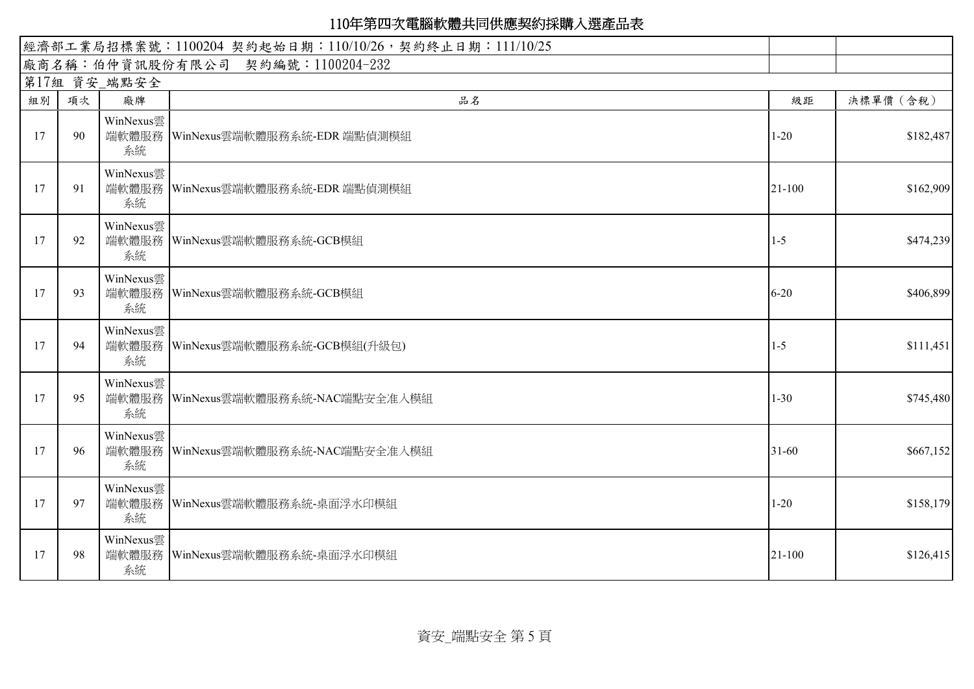|    | 經濟部工業局招標案號: 1100204 契約起始日期: 110/10/26, 契約終止日期: 111/10/25 |                 |                                      |            |           |  |  |
|----|----------------------------------------------------------|-----------------|--------------------------------------|------------|-----------|--|--|
|    |                                                          |                 | 廠商名稱:伯仲資訊股份有限公司 契約編號:1100204-232     |            |           |  |  |
|    |                                                          | 第17組 資安_端點安全    |                                      |            |           |  |  |
| 組別 | 項次                                                       | 廠牌              | 品名                                   | 級距         | 決標單價 (含稅) |  |  |
| 17 | 90                                                       | WinNexus雲<br>系統 | 端軟體服務 WinNexus雲端軟體服務系統-EDR 端點偵測模組    | $1 - 20$   | \$182,487 |  |  |
| 17 | 91                                                       | WinNexus雲<br>系統 | 端軟體服務   WinNexus雲端軟體服務系統-EDR 端點偵測模組  | 21-100     | \$162,909 |  |  |
| 17 | 92                                                       | WinNexus雲<br>系統 | 端軟體服務 WinNexus雲端軟體服務系統-GCB模組         | $1 - 5$    | \$474,239 |  |  |
| 17 | 93                                                       | WinNexus雲<br>系統 | 端軟體服務 WinNexus雲端軟體服務系統-GCB模組         | $6 - 20$   | \$406,899 |  |  |
| 17 | 94                                                       | WinNexus雲<br>系統 | 端軟體服務 WinNexus雲端軟體服務系統-GCB模組(升級包)    | $1-5$      | \$111,451 |  |  |
| 17 | 95                                                       | WinNexus雲<br>系統 | 端軟體服務 WinNexus雲端軟體服務系統-NAC端點安全准入模組   | $1 - 30$   | \$745,480 |  |  |
| 17 | 96                                                       | WinNexus雲<br>系統 | 端軟體服務   WinNexus雲端軟體服務系統-NAC端點安全准入模組 | $31 - 60$  | \$667,152 |  |  |
| 17 | 97                                                       | WinNexus雲<br>系統 | 端軟體服務 WinNexus雲端軟體服務系統-桌面浮水印模組       | $1 - 20$   | \$158,179 |  |  |
| 17 | 98                                                       | WinNexus雲<br>系統 | 端軟體服務 WinNexus雲端軟體服務系統-桌面浮水印模組       | $21 - 100$ | \$126,415 |  |  |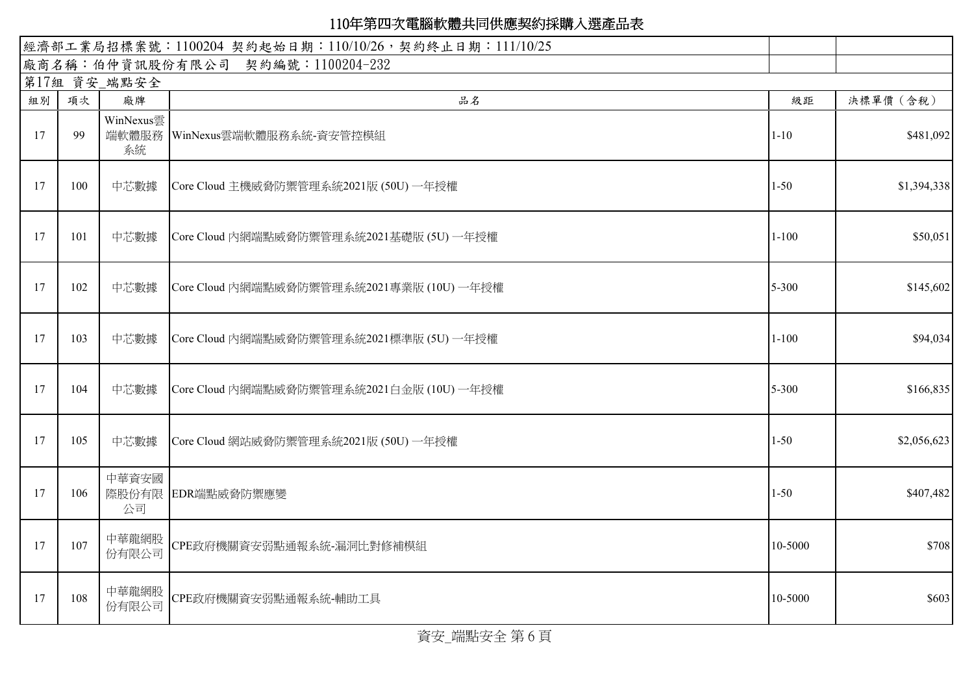| 經濟部工業局招標案號: 1100204 契約起始日期: 110/10/26, 契約終止日期: 111/10/25 |     |                 |                                           |           |             |
|----------------------------------------------------------|-----|-----------------|-------------------------------------------|-----------|-------------|
|                                                          |     |                 | 廠商名稱:伯仲資訊股份有限公司 契約編號:1100204-232          |           |             |
|                                                          |     | 第17組 資安_端點安全    |                                           |           |             |
| 組別                                                       | 項次  | 廠牌              | 品名                                        | 級距        | 決標單價 (含稅)   |
| 17                                                       | 99  | WinNexus雲<br>系統 | 端軟體服務 WinNexus雲端軟體服務系統-資安管控模組             | $1 - 10$  | \$481,092   |
| 17                                                       | 100 | 中芯數據            | Core Cloud 主機威脅防禦管理系統2021版 (50U) 一年授權     | $1 - 50$  | \$1,394,338 |
| 17                                                       | 101 | 中芯數據            | Core Cloud 內網端點威脅防禦管理系統2021基礎版 (5U) 一年授權  | $1 - 100$ | \$50,051    |
| 17                                                       | 102 | 中芯數據            | Core Cloud 內網端點威脅防禦管理系統2021專業版 (10U) 一年授權 | 5-300     | \$145,602   |
| 17                                                       | 103 | 中芯數據            | Core Cloud 內網端點威脅防禦管理系統2021標準版 (5U) 一年授權  | $1 - 100$ | \$94,034    |
| 17                                                       | 104 | 中芯數據            | Core Cloud 內網端點威脅防禦管理系統2021白金版 (10U) 一年授權 | 5-300     | \$166,835   |
| 17                                                       | 105 | 中芯數據            | Core Cloud 網站威脅防禦管理系統2021版 (50U) 一年授權     | $1 - 50$  | \$2,056,623 |
| 17                                                       | 106 | 中華資安國<br>公司     | 際股份有限 EDR端點威脅防禦應變                         | $1 - 50$  | \$407,482   |
| 17                                                       | 107 | 中華龍網股<br>份有限公司  | CPE政府機關資安弱點通報系統-漏洞比對修補模組                  | 10-5000   | \$708       |
| 17                                                       | 108 | 中華龍網股<br>份有限公司  | CPE政府機關資安弱點通報系統-輔助工具                      | 10-5000   | \$603       |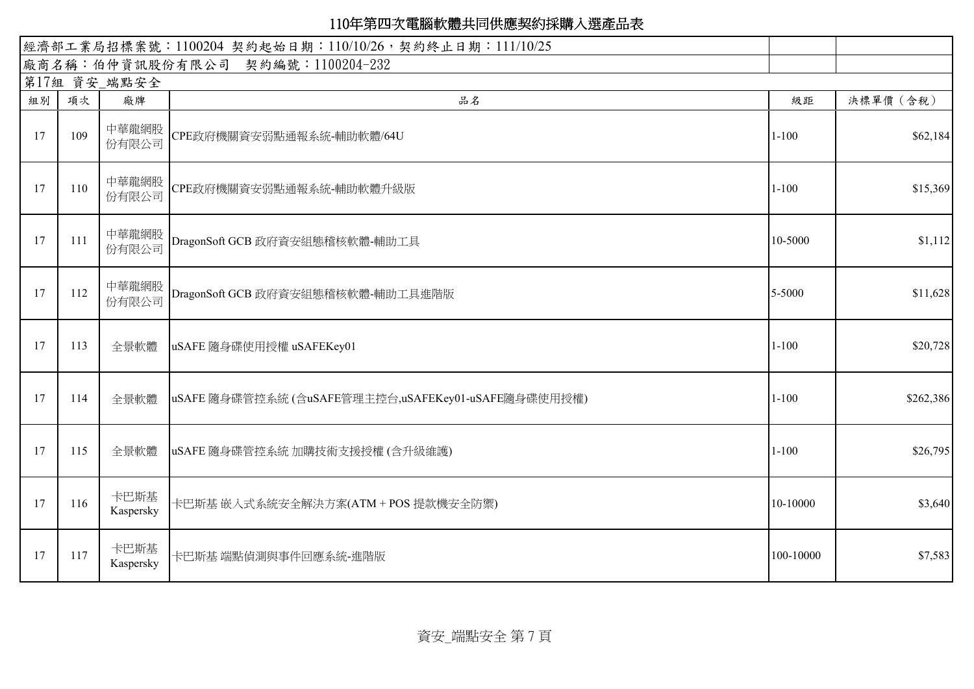| 經濟部工業局招標案號: 1100204 契約起始日期: 110/10/26, 契約終止日期: 111/10/25 |     |                   |                                                     |           |           |  |
|----------------------------------------------------------|-----|-------------------|-----------------------------------------------------|-----------|-----------|--|
|                                                          |     |                   | 廠商名稱:伯仲資訊股份有限公司 契約編號:1100204-232                    |           |           |  |
|                                                          |     | 第17組 資安_端點安全      |                                                     |           |           |  |
| 組別                                                       | 項次  | 廠牌                | 品名                                                  | 級距        | 決標單價 (含稅) |  |
| 17                                                       | 109 | 中華龍網股<br>份有限公司    | CPE政府機關資安弱點通報系統-輔助軟體/64U                            | $1 - 100$ | \$62,184  |  |
| 17                                                       | 110 | 中華龍網股<br>份有限公司    | CPE政府機關資安弱點通報系統-輔助軟體升級版                             | $1 - 100$ | \$15,369  |  |
| 17                                                       | 111 | 中華龍網股<br>份有限公司    | DragonSoft GCB 政府資安組態稽核軟體-輔助工具                      | 10-5000   | \$1,112   |  |
| 17                                                       | 112 | 中華龍網股<br>份有限公司    | DragonSoft GCB 政府資安組態稽核軟體-輔助工具進階版                   | 5-5000    | \$11,628  |  |
| 17                                                       | 113 | 全景軟體              | uSAFE 隨身碟使用授權 uSAFEKey01                            | $1 - 100$ | \$20,728  |  |
| 17                                                       | 114 | 全景軟體              | uSAFE 隨身碟管控系統 (含uSAFE管理主控台,uSAFEKey01-uSAFE隨身碟使用授權) | $1 - 100$ | \$262,386 |  |
| 17                                                       | 115 | 全景軟體              | uSAFE 隨身碟管控系統 加購技術支援授權 (含升級維護)                      | $1 - 100$ | \$26,795  |  |
| 17                                                       | 116 | 卡巴斯基<br>Kaspersky | 卡巴斯基 嵌入式系統安全解決方案(ATM + POS 提款機安全防禦)                 | 10-10000  | \$3,640   |  |
| 17                                                       | 117 | 卡巴斯基<br>Kaspersky | 卡巴斯基 端點偵測與事件回應系統-進階版                                | 100-10000 | \$7,583   |  |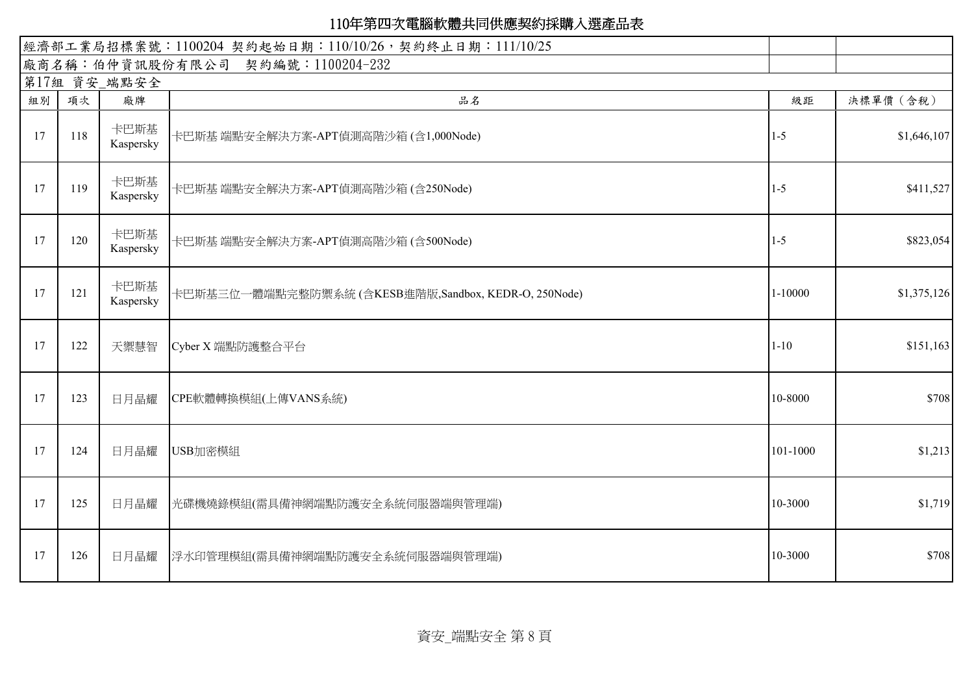|    | 經濟部工業局招標案號: 1100204 契約起始日期: 110/10/26, 契約終止日期: 111/10/25 |                   |                                                      |          |             |  |  |  |  |
|----|----------------------------------------------------------|-------------------|------------------------------------------------------|----------|-------------|--|--|--|--|
|    |                                                          |                   | 廠商名稱:伯仲資訊股份有限公司 契約編號:1100204-232                     |          |             |  |  |  |  |
|    |                                                          | 第17組 資安_端點安全      |                                                      |          |             |  |  |  |  |
| 組別 | 項次                                                       | 廠牌                | 品名                                                   | 級距       | 決標單價 (含稅)   |  |  |  |  |
| 17 | 118                                                      | 卡巴斯基<br>Kaspersky | 卡巴斯基 端點安全解決方案-APT偵測高階沙箱 (含1,000Node)                 | $1 - 5$  | \$1,646,107 |  |  |  |  |
| 17 | 119                                                      | 卡巴斯基<br>Kaspersky | 卡巴斯基 端點安全解決方案-APT偵測高階沙箱 (含250Node)                   | $1 - 5$  | \$411,527   |  |  |  |  |
| 17 | 120                                                      | 卡巴斯基<br>Kaspersky | 卡巴斯基 端點安全解決方案-APT偵測高階沙箱 (含500Node)                   | $1-5$    | \$823,054   |  |  |  |  |
| 17 | 121                                                      | 卡巴斯基<br>Kaspersky | 卡巴斯基三位一體端點完整防禦系統 (含KESB進階版,Sandbox, KEDR-O, 250Node) | 1-10000  | \$1,375,126 |  |  |  |  |
| 17 | 122                                                      | 天禦慧智              | Cyber X 端點防護整合平台                                     | $1 - 10$ | \$151,163   |  |  |  |  |
| 17 | 123                                                      | 日月晶耀              | CPE軟體轉換模組(上傳VANS系統)                                  | 10-8000  | \$708       |  |  |  |  |
| 17 | 124                                                      | 日月晶耀              | USB加密模組                                              | 101-1000 | \$1,213     |  |  |  |  |
| 17 | 125                                                      | 日月晶耀              | 光碟機燒錄模組(需具備神網端點防護安全系統伺服器端與管理端)                       | 10-3000  | \$1,719     |  |  |  |  |
| 17 | 126                                                      | 日月晶耀              | 浮水印管理模組(需具備神網端點防護安全系統伺服器端與管理端)                       | 10-3000  | \$708       |  |  |  |  |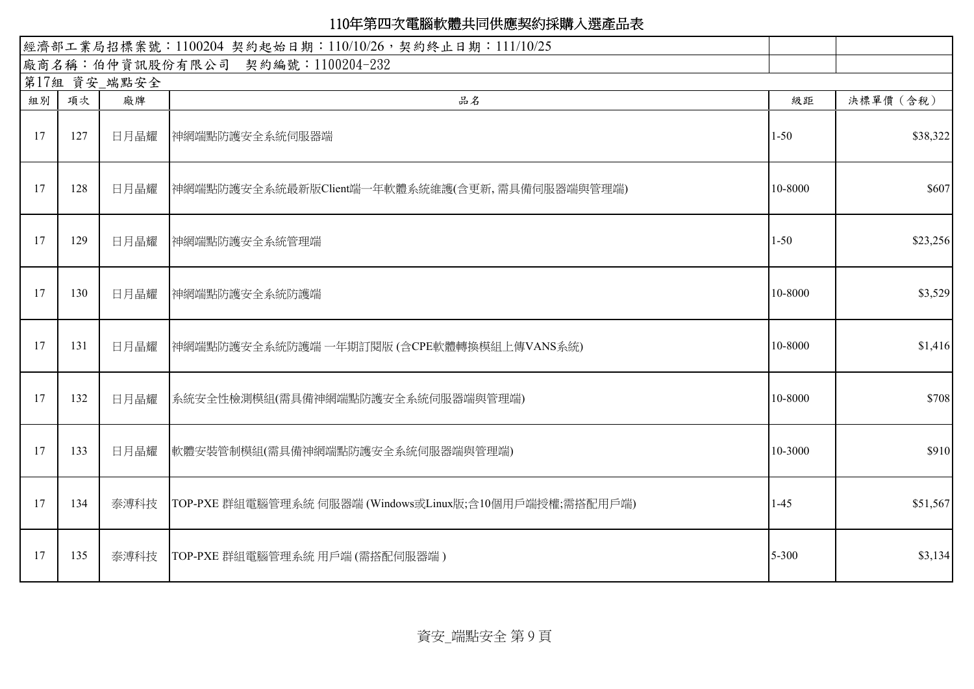| 經濟部工業局招標案號: 1100204 契約起始日期: 110/10/26, 契約終止日期: 111/10/25 |              |      |                                                                |          |           |  |  |  |
|----------------------------------------------------------|--------------|------|----------------------------------------------------------------|----------|-----------|--|--|--|
|                                                          |              |      | 廠商名稱:伯仲資訊股份有限公司 契約編號:1100204-232                               |          |           |  |  |  |
|                                                          | 第17組 資安_端點安全 |      |                                                                |          |           |  |  |  |
| 組別                                                       | 項次           | 廠牌   | 品名                                                             | 級距       | 決標單價 (含稅) |  |  |  |
| 17                                                       | 127          | 日月晶耀 | 神網端點防護安全系統伺服器端                                                 | $1 - 50$ | \$38,322  |  |  |  |
| 17                                                       | 128          | 日月晶耀 | 神網端點防護安全系統最新版Client端一年軟體系統維護(含更新,需具備伺服器端與管理端)                  | 10-8000  | \$607     |  |  |  |
| 17                                                       | 129          | 日月晶耀 | 神網端點防護安全系統管理端                                                  | $1 - 50$ | \$23,256  |  |  |  |
| 17                                                       | 130          | 日月晶耀 | 神網端點防護安全系統防護端                                                  | 10-8000  | \$3,529   |  |  |  |
| 17                                                       | 131          | 日月晶耀 | 神網端點防護安全系統防護端 一年期訂閱版 (含CPE軟體轉換模組上傳VANS系統)                      | 10-8000  | \$1,416   |  |  |  |
| 17                                                       | 132          | 日月晶耀 | 系統安全性檢測模組(需具備神網端點防護安全系統伺服器端與管理端)                               | 10-8000  | \$708     |  |  |  |
| 17                                                       | 133          | 日月晶耀 | 軟體安裝管制模組(需具備神網端點防護安全系統伺服器端與管理端)                                | 10-3000  | \$910     |  |  |  |
| 17                                                       | 134          |      | 泰溥科技   TOP-PXE 群組電腦管理系統 伺服器端 (Windows或Linux版;含10個用戶端授權;需搭配用戶端) | $1-45$   | \$51,567  |  |  |  |
| 17                                                       | 135          |      | 泰溥科技   TOP-PXE 群組電腦管理系統 用戶端 (需搭配伺服器端)                          | 5-300    | \$3,134   |  |  |  |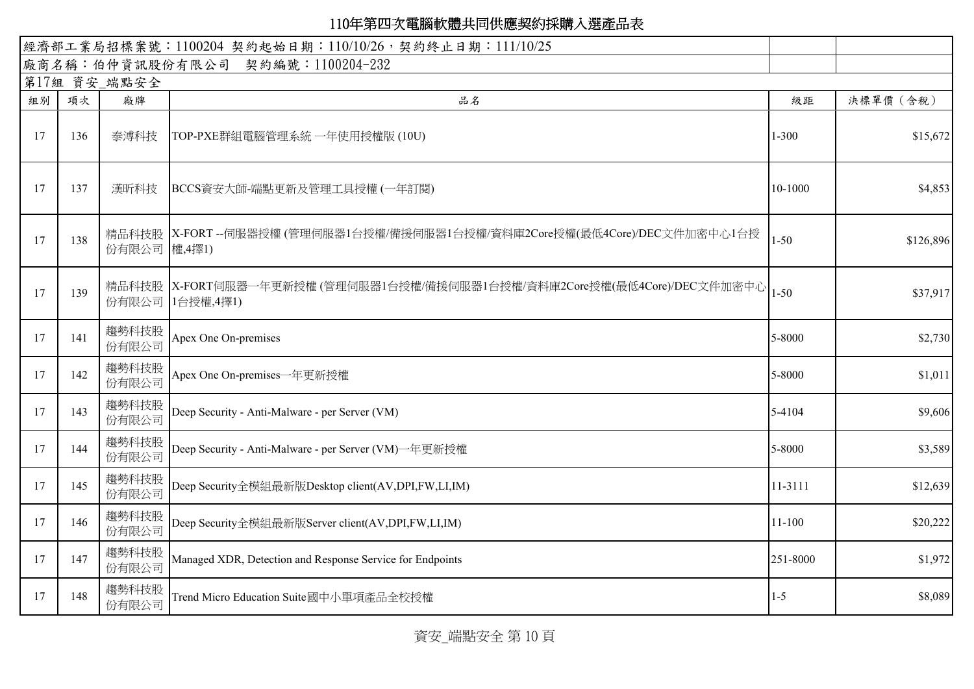| 經濟部工業局招標案號: 1100204 契約起始日期: 110/10/26, 契約終止日期: 111/10/25 |     |                |                                                                                        |            |           |
|----------------------------------------------------------|-----|----------------|----------------------------------------------------------------------------------------|------------|-----------|
|                                                          |     |                | 廠商名稱:伯仲資訊股份有限公司 契約編號:1100204-232                                                       |            |           |
|                                                          |     | 第17組 資安_端點安全   |                                                                                        |            |           |
| 組別                                                       | 項次  | 廠牌             | 品名                                                                                     | 級距         | 決標單價 (含稅) |
| 17                                                       | 136 | 泰溥科技           | TOP-PXE群組電腦管理系統 一年使用授權版 (10U)                                                          | $1 - 300$  | \$15,672  |
| 17                                                       | 137 | 漢昕科技           | BCCS資安大師-端點更新及管理工具授權 (一年訂閱)                                                            | 10-1000    | \$4,853   |
| 17                                                       | 138 | 份有限公司 權,4擇1)   | 精品科技股   X-FORT --伺服器授權 (管理伺服器1台授權/備援伺服器1台授權/資料庫2Core授權(最低4Core)/DEC文件加密中心1台授           | $1 - 50$   | \$126,896 |
| 17                                                       | 139 | 份有限公司          | 精品科技股  X-FORT伺服器一年更新授權 (管理伺服器1台授權/備援伺服器1台授權/資料庫2Core授權(最低4Core)/DEC文件加密中心<br>1台授權,4擇1) | $1 - 50$   | \$37,917  |
| 17                                                       | 141 | 趨勢科技股<br>份有限公司 | Apex One On-premises                                                                   | 5-8000     | \$2,730   |
| 17                                                       | 142 | 趨勢科技股<br>份有限公司 | Apex One On-premises一年更新授權                                                             | 5-8000     | \$1,011   |
| 17                                                       | 143 | 趨勢科技股<br>份有限公司 | Deep Security - Anti-Malware - per Server (VM)                                         | 5-4104     | \$9,606   |
| 17                                                       | 144 | 趨勢科技股<br>份有限公司 | Deep Security - Anti-Malware - per Server (VM)一年更新授權                                   | 5-8000     | \$3,589   |
| 17                                                       | 145 | 趨勢科技股<br>份有限公司 | Deep Security全模組最新版Desktop client(AV,DPI,FW,LI,IM)                                     | 11-3111    | \$12,639  |
| 17                                                       | 146 | 趨勢科技股<br>份有限公司 | Deep Security全模組最新版Server client(AV,DPI,FW,LI,IM)                                      | $11 - 100$ | \$20,222  |
| 17                                                       | 147 | 趨勢科技股<br>份有限公司 | Managed XDR, Detection and Response Service for Endpoints                              | 251-8000   | \$1,972   |
| 17                                                       | 148 | 趨勢科技股<br>份有限公司 | Trend Micro Education Suite國中小單項產品全校授權                                                 | $1 - 5$    | \$8,089   |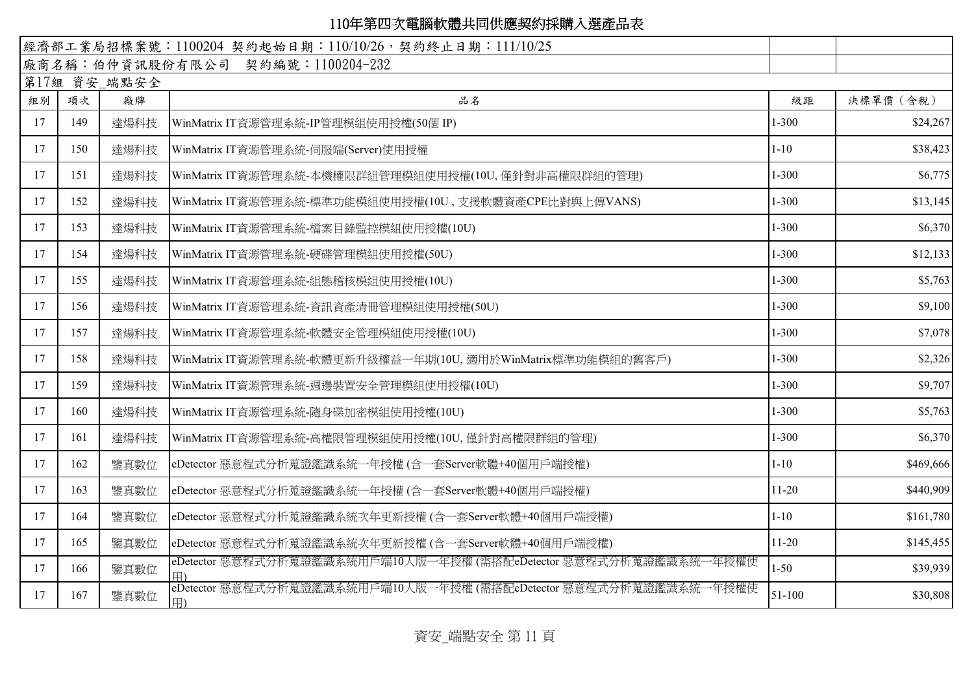|    |     |              | 經濟部工業局招標案號: 1100204 契約起始日期: 110/10/26, 契約終止日期: 111/10/25                |            |           |
|----|-----|--------------|-------------------------------------------------------------------------|------------|-----------|
|    |     |              | 廠商名稱:伯仲資訊股份有限公司 契約編號:1100204-232                                        |            |           |
|    |     | 第17組 資安_端點安全 |                                                                         |            |           |
| 組別 | 項次  | 廠牌           | 品名                                                                      | 級距         | 決標單價 (含稅) |
| 17 | 149 | 達煬科技         | WinMatrix IT資源管理系統-IP管理模組使用授權(50個 IP)                                   | $1 - 300$  | \$24,267  |
| 17 | 150 | 達煬科技         | WinMatrix IT資源管理系統-伺服端(Server)使用授權                                      | $1 - 10$   | \$38,423  |
| 17 | 151 | 達煬科技         | WinMatrix IT資源管理系統-本機權限群組管理模組使用授權(10U, 僅針對非高權限群組的管理)                    | $1 - 300$  | \$6,775   |
| 17 | 152 | 達煬科技         | WinMatrix IT資源管理系統-標準功能模組使用授權(10U, 支援軟體資產CPE比對與上傳VANS)                  | $1 - 300$  | \$13,145  |
| 17 | 153 | 達煬科技         | WinMatrix IT資源管理系統-檔案目錄監控模組使用授權(10U)                                    | $1 - 300$  | \$6,370   |
| 17 | 154 | 達煬科技         | WinMatrix IT資源管理系統-硬碟管理模組使用授權(50U)                                      | $1 - 300$  | \$12,133  |
| 17 | 155 | 達煬科技         | WinMatrix IT資源管理系統-組態稽核模組使用授權(10U)                                      | $1 - 300$  | \$5,763   |
| 17 | 156 | 達煬科技         | WinMatrix IT資源管理系統-資訊資產清冊管理模組使用授權(50U)                                  | $1 - 300$  | \$9,100   |
| 17 | 157 | 達煬科技         | WinMatrix IT資源管理系統-軟體安全管理模組使用授權(10U)                                    | $1 - 300$  | \$7,078   |
| 17 | 158 | 達煬科技         | WinMatrix IT資源管理系統-軟體更新升級權益一年期(10U, 適用於WinMatrix標準功能模組的舊客戶)             | $1 - 300$  | \$2,326   |
| 17 | 159 | 達煬科技         | WinMatrix IT資源管理系統-週邊裝置安全管理模組使用授權(10U)                                  | $1 - 300$  | \$9,707   |
| 17 | 160 | 達煬科技         | WinMatrix IT資源管理系統-隨身碟加密模組使用授權(10U)                                     | $1 - 300$  | \$5,763   |
| 17 | 161 | 達煬科技         | WinMatrix IT資源管理系統-高權限管理模組使用授權(10U, 僅針對高權限群組的管理)                        | $1 - 300$  | \$6,370   |
| 17 | 162 | 鑒真數位         | eDetector 惡意程式分析蒐證鑑識系統一年授權(含一套Server軟體+40個用戶端授權)                        | $1 - 10$   | \$469,666 |
| 17 | 163 | 鑒真數位         | eDetector 惡意程式分析蒐證鑑識系統一年授權(含一套Server軟體+40個用戶端授權)                        | $11 - 20$  | \$440,909 |
| 17 | 164 | 鑒真數位         | eDetector 惡意程式分析蒐證鑑識系統次年更新授權 (含一套Server軟體+40個用戶端授權)                     | $1 - 10$   | \$161,780 |
| 17 | 165 | 鑒真數位         | eDetector 惡意程式分析蒐證鑑識系統次年更新授權 (含一套Server軟體+40個用戶端授權)                     | $11-20$    | \$145,455 |
| 17 | 166 | 鑒真數位         | eDetector 惡意程式分析蒐證鑑識系統用戶端10人版一年授權 (需搭配eDetector 惡意程式分析蒐證鑑識系統一年授權使       | $1 - 50$   | \$39,939  |
| 17 | 167 | 鑒真數位         | eDetector 惡意程式分析蒐證鑑識系統用戶端10人版一年授權 (需搭配eDetector 惡意程式分析蒐證鑑識系統一年授權使<br>用) | $51 - 100$ | \$30,808  |

資安\_端點安全 第 11 頁